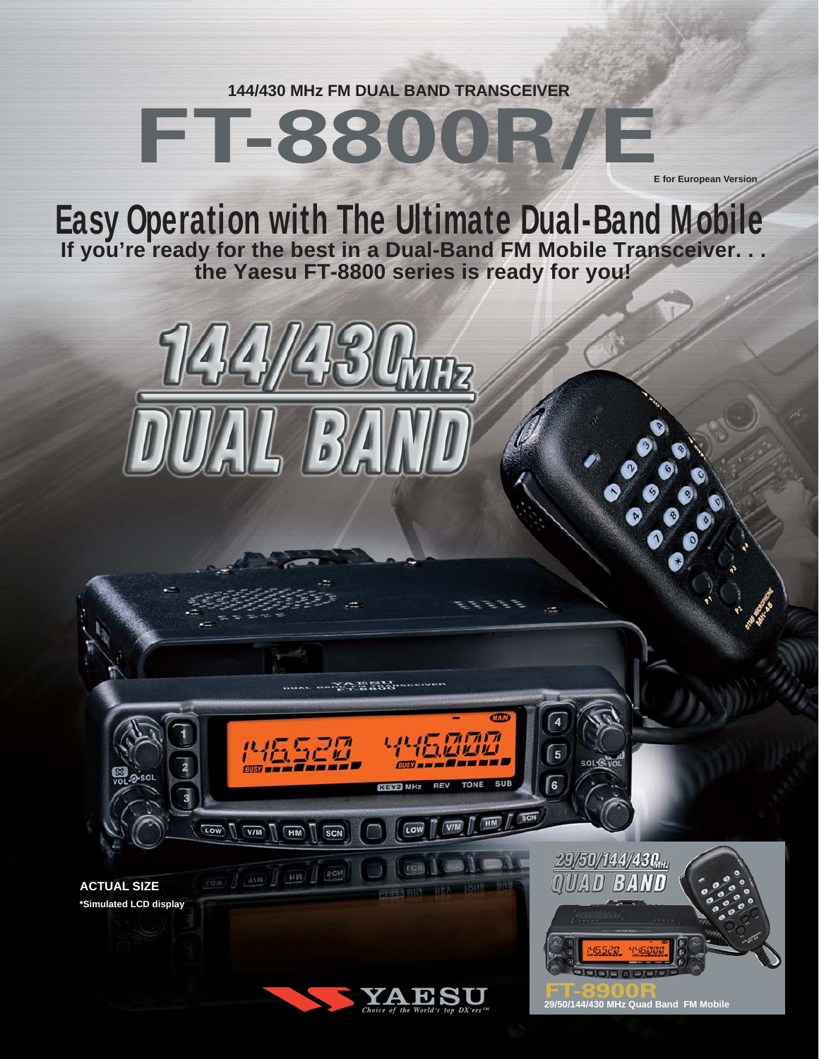**144/430 MHz FM DUAL BAND TRANSCEIVER**

# **FT-8800R/E**

**E for European Version**

**Easy Operation with The Ultimate Dual-Band Mobile If you're ready for the best in a Dual-Band FM Mobile Transceiver. . . the Yaesu FT-8800 series is ready for you!**



**ACTUAL SIZE \*Simulated LCD display** LOW VM HM

 $TOM$   $\int_{0}^{\infty}$   $\frac{1}{\sqrt{1-\frac{1}{2}+1}}$   $\int_{0}^{\infty} \frac{1}{\sqrt{1-\frac{1}{2}+1}}$   $\int_{0}^{\infty} \frac{1}{\sqrt{1-\frac{1}{2}+1}}$ 



LOW

rom

**ALCOHOLINE CONTRACTOR** 

SCN

ராரா

THE ALL PROPERTY AND

5

ſ6